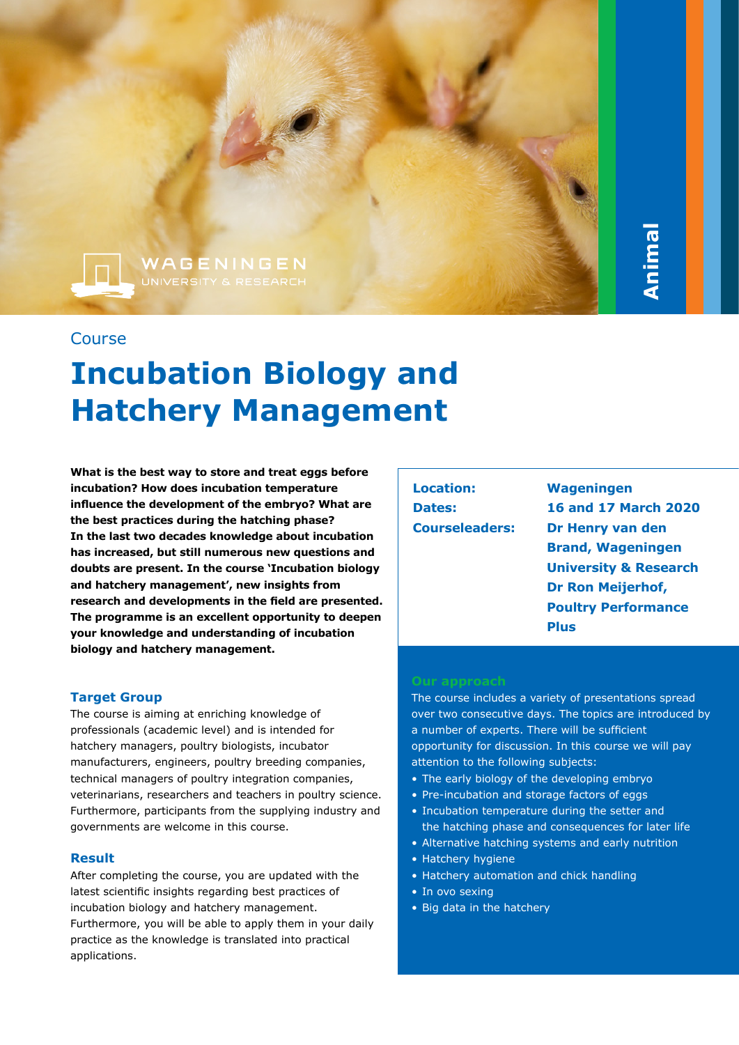

# Course

# **Incubation Biology and Hatchery Management**

**What is the best way to store and treat eggs before incubation? How does incubation temperature influence the development of the embryo? What are the best practices during the hatching phase? In the last two decades knowledge about incubation has increased, but still numerous new questions and doubts are present. In the course 'Incubation biology and hatchery management', new insights from research and developments in the field are presented. The programme is an excellent opportunity to deepen your knowledge and understanding of incubation biology and hatchery management.**

### **Target Group**

The course is aiming at enriching knowledge of professionals (academic level) and is intended for hatchery managers, poultry biologists, incubator manufacturers, engineers, poultry breeding companies, technical managers of poultry integration companies, veterinarians, researchers and teachers in poultry science. Furthermore, participants from the supplying industry and governments are welcome in this course.

### **Result**

After completing the course, you are updated with the latest scientific insights regarding best practices of incubation biology and hatchery management. Furthermore, you will be able to apply them in your daily practice as the knowledge is translated into practical applications.

**Location: Wageningen**

**Dates: 16 and 17 March 2020 Courseleaders: Dr Henry van den Brand, Wageningen University & Research Dr Ron Meijerhof, Poultry Performance Plus**

The course includes a variety of presentations spread over two consecutive days. The topics are introduced by a number of experts. There will be sufficient opportunity for discussion. In this course we will pay attention to the following subjects:

- The early biology of the developing embryo
- Pre-incubation and storage factors of eggs
- Incubation temperature during the setter and the hatching phase and consequences for later life
- Alternative hatching systems and early nutrition
- Hatchery hygiene
- Hatchery automation and chick handling
- In ovo sexing
- Big data in the hatchery